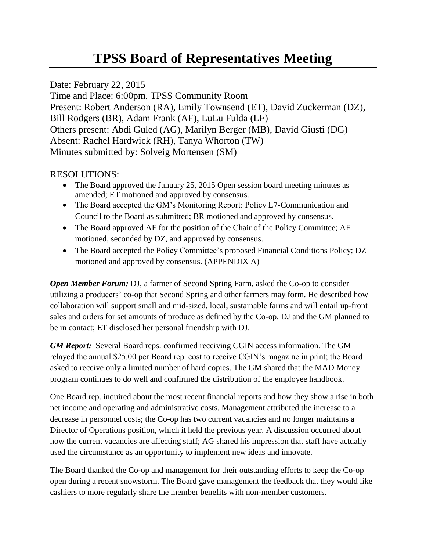# **TPSS Board of Representatives Meeting**

## Date: February 22, 2015

Time and Place: 6:00pm, TPSS Community Room Present: Robert Anderson (RA), Emily Townsend (ET), David Zuckerman (DZ), Bill Rodgers (BR), Adam Frank (AF), LuLu Fulda (LF) Others present: Abdi Guled (AG), Marilyn Berger (MB), David Giusti (DG) Absent: Rachel Hardwick (RH), Tanya Whorton (TW) Minutes submitted by: Solveig Mortensen (SM)

## RESOLUTIONS:

- The Board approved the January 25, 2015 Open session board meeting minutes as amended; ET motioned and approved by consensus.
- The Board accepted the GM's Monitoring Report: Policy L7-Communication and Council to the Board as submitted; BR motioned and approved by consensus.
- The Board approved AF for the position of the Chair of the Policy Committee; AF motioned, seconded by DZ, and approved by consensus.
- The Board accepted the Policy Committee's proposed Financial Conditions Policy; DZ motioned and approved by consensus. (APPENDIX A)

*Open Member Forum:* DJ, a farmer of Second Spring Farm, asked the Co-op to consider utilizing a producers' co-op that Second Spring and other farmers may form. He described how collaboration will support small and mid-sized, local, sustainable farms and will entail up-front sales and orders for set amounts of produce as defined by the Co-op. DJ and the GM planned to be in contact; ET disclosed her personal friendship with DJ.

*GM Report:* Several Board reps. confirmed receiving CGIN access information. The GM relayed the annual \$25.00 per Board rep. cost to receive CGIN's magazine in print; the Board asked to receive only a limited number of hard copies. The GM shared that the MAD Money program continues to do well and confirmed the distribution of the employee handbook.

One Board rep. inquired about the most recent financial reports and how they show a rise in both net income and operating and administrative costs. Management attributed the increase to a decrease in personnel costs; the Co-op has two current vacancies and no longer maintains a Director of Operations position, which it held the previous year. A discussion occurred about how the current vacancies are affecting staff; AG shared his impression that staff have actually used the circumstance as an opportunity to implement new ideas and innovate.

The Board thanked the Co-op and management for their outstanding efforts to keep the Co-op open during a recent snowstorm. The Board gave management the feedback that they would like cashiers to more regularly share the member benefits with non-member customers.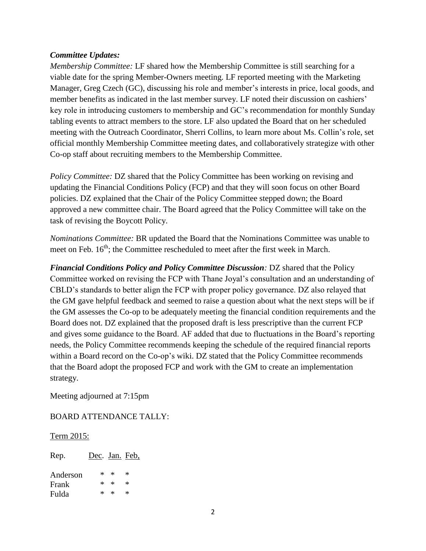#### *Committee Updates:*

*Membership Committee:* LF shared how the Membership Committee is still searching for a viable date for the spring Member-Owners meeting. LF reported meeting with the Marketing Manager, Greg Czech (GC), discussing his role and member's interests in price, local goods, and member benefits as indicated in the last member survey. LF noted their discussion on cashiers' key role in introducing customers to membership and GC's recommendation for monthly Sunday tabling events to attract members to the store. LF also updated the Board that on her scheduled meeting with the Outreach Coordinator, Sherri Collins, to learn more about Ms. Collin's role, set official monthly Membership Committee meeting dates, and collaboratively strategize with other Co-op staff about recruiting members to the Membership Committee.

*Policy Committee:* DZ shared that the Policy Committee has been working on revising and updating the Financial Conditions Policy (FCP) and that they will soon focus on other Board policies. DZ explained that the Chair of the Policy Committee stepped down; the Board approved a new committee chair. The Board agreed that the Policy Committee will take on the task of revising the Boycott Policy.

*Nominations Committee:* BR updated the Board that the Nominations Committee was unable to meet on Feb.  $16<sup>th</sup>$ ; the Committee rescheduled to meet after the first week in March.

*Financial Conditions Policy and Policy Committee Discussion:* DZ shared that the Policy Committee worked on revising the FCP with Thane Joyal's consultation and an understanding of CBLD's standards to better align the FCP with proper policy governance. DZ also relayed that the GM gave helpful feedback and seemed to raise a question about what the next steps will be if the GM assesses the Co-op to be adequately meeting the financial condition requirements and the Board does not. DZ explained that the proposed draft is less prescriptive than the current FCP and gives some guidance to the Board. AF added that due to fluctuations in the Board's reporting needs, the Policy Committee recommends keeping the schedule of the required financial reports within a Board record on the Co-op's wiki. DZ stated that the Policy Committee recommends that the Board adopt the proposed FCP and work with the GM to create an implementation strategy.

Meeting adjourned at 7:15pm

BOARD ATTENDANCE TALLY:

#### Term 2015:

| Rep.     | Dec. Jan. Feb. |            |   |
|----------|----------------|------------|---|
| Anderson | $\ast$         | $\ast$     | × |
| Frank    | $\ast$         | $^{\star}$ | × |
| Fulda    | ×              | ж          | × |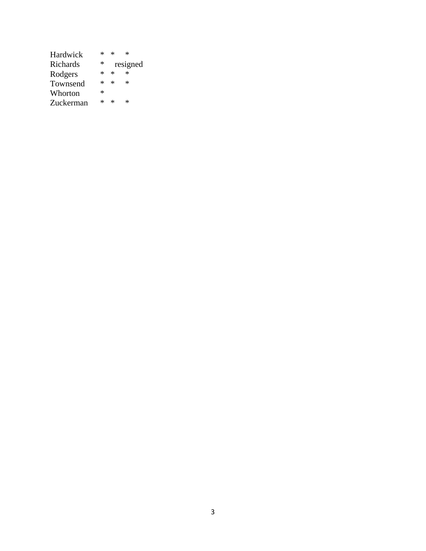| Hardwick  | ×      | ×      | $\ast$   |
|-----------|--------|--------|----------|
| Richards  | $\ast$ |        | resigned |
| Rodgers   | ×      | $\ast$ | $\ast$   |
| Townsend  | ×      | $\ast$ | ×        |
| Whorton   | *      |        |          |
| Zuckerman | ×      | ж      | ×        |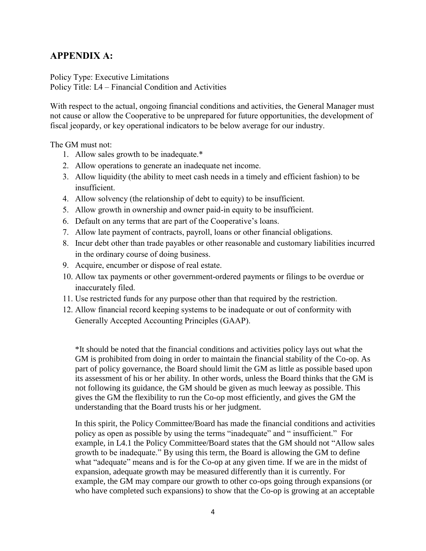## **APPENDIX A:**

Policy Type: Executive Limitations Policy Title: L4 – Financial Condition and Activities

With respect to the actual, ongoing financial conditions and activities, the General Manager must not cause or allow the Cooperative to be unprepared for future opportunities, the development of fiscal jeopardy, or key operational indicators to be below average for our industry.

The GM must not:

- 1. Allow sales growth to be inadequate.\*
- 2. Allow operations to generate an inadequate net income.
- 3. Allow liquidity (the ability to meet cash needs in a timely and efficient fashion) to be insufficient.
- 4. Allow solvency (the relationship of debt to equity) to be insufficient.
- 5. Allow growth in ownership and owner paid-in equity to be insufficient.
- 6. Default on any terms that are part of the Cooperative's loans.
- 7. Allow late payment of contracts, payroll, loans or other financial obligations.
- 8. Incur debt other than trade payables or other reasonable and customary liabilities incurred in the ordinary course of doing business.
- 9. Acquire, encumber or dispose of real estate.
- 10. Allow tax payments or other government-ordered payments or filings to be overdue or inaccurately filed.
- 11. Use restricted funds for any purpose other than that required by the restriction.
- 12. Allow financial record keeping systems to be inadequate or out of conformity with Generally Accepted Accounting Principles (GAAP).

\*It should be noted that the financial conditions and activities policy lays out what the GM is prohibited from doing in order to maintain the financial stability of the Co-op. As part of policy governance, the Board should limit the GM as little as possible based upon its assessment of his or her ability. In other words, unless the Board thinks that the GM is not following its guidance, the GM should be given as much leeway as possible. This gives the GM the flexibility to run the Co-op most efficiently, and gives the GM the understanding that the Board trusts his or her judgment.

In this spirit, the Policy Committee/Board has made the financial conditions and activities policy as open as possible by using the terms "inadequate" and " insufficient." For example, in L4.1 the Policy Committee/Board states that the GM should not "Allow sales growth to be inadequate." By using this term, the Board is allowing the GM to define what "adequate" means and is for the Co-op at any given time. If we are in the midst of expansion, adequate growth may be measured differently than it is currently. For example, the GM may compare our growth to other co-ops going through expansions (or who have completed such expansions) to show that the Co-op is growing at an acceptable